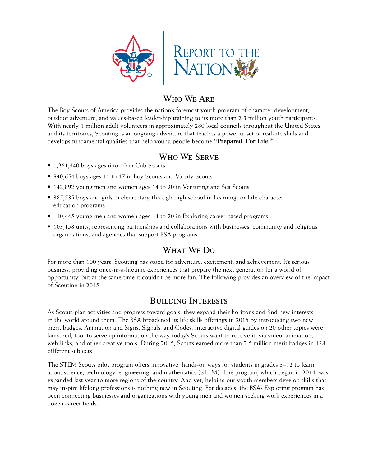

## Who We Are

The Boy Scouts of America provides the nation's foremost youth program of character development, outdoor adventure, and values-based leadership training to its more than 2.3 million youth participants. With nearly 1 million adult volunteers in approximately 280 local councils throughout the United States and its territories, Scouting is an ongoing adventure that teaches a powerful set of real-life skills and develops fundamental qualities that help young people become **"Prepared. For Life.®"**

### Who We Serve

- 1,261,340 boys ages 6 to 10 in Cub Scouts
- 840,654 boys ages 11 to 17 in Boy Scouts and Varsity Scouts
- 142,892 young men and women ages 14 to 20 in Venturing and Sea Scouts
- 385,535 boys and girls in elementary through high school in Learning for Life character education programs
- 110,445 young men and women ages 14 to 20 in Exploring career-based programs
- 103,158 units, representing partnerships and collaborations with businesses, community and religious organizations, and agencies that support BSA programs

# What We Do

For more than 100 years, Scouting has stood for adventure, excitement, and achievement. It's serious business, providing once-in-a-lifetime experiences that prepare the next generation for a world of opportunity, but at the same time it couldn't be more fun. The following provides an overview of the impact of Scouting in 2015.

## Building Interests

As Scouts plan activities and progress toward goals, they expand their horizons and find new interests in the world around them. The BSA broadened its life skills offerings in 2015 by introducing two new merit badges: Animation and Signs, Signals, and Codes. Interactive digital guides on 20 other topics were launched, too, to serve up information the way today's Scouts want to receive it: via video, animation, web links, and other creative tools. During 2015, Scouts earned more than 2.5 million merit badges in 138 different subjects.

The STEM Scouts pilot program offers innovative, hands-on ways for students in grades 3–12 to learn about science, technology, engineering, and mathematics (STEM). The program, which began in 2014, was expanded last year to more regions of the country. And yet, helping our youth members develop skills that may inspire lifelong professions is nothing new in Scouting. For decades, the BSA's Exploring program has been connecting businesses and organizations with young men and women seeking work experiences in a dozen career fields.